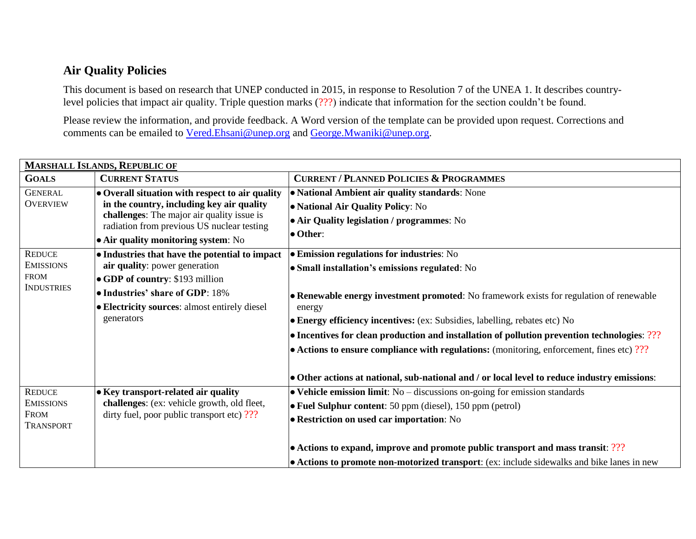## **Air Quality Policies**

This document is based on research that UNEP conducted in 2015, in response to Resolution 7 of the UNEA 1. It describes countrylevel policies that impact air quality. Triple question marks (???) indicate that information for the section couldn't be found.

Please review the information, and provide feedback. A Word version of the template can be provided upon request. Corrections and comments can be emailed to [Vered.Ehsani@unep.org](mailto:Vered.Ehsani@unep.org) and [George.Mwaniki@unep.org.](mailto:George.Mwaniki@unep.org)

| <b>MARSHALL ISLANDS, REPUBLIC OF</b> |                                                                                         |                                                                                                   |  |
|--------------------------------------|-----------------------------------------------------------------------------------------|---------------------------------------------------------------------------------------------------|--|
| <b>GOALS</b>                         | <b>CURRENT STATUS</b>                                                                   | <b>CURRENT / PLANNED POLICIES &amp; PROGRAMMES</b>                                                |  |
| <b>GENERAL</b>                       | • Overall situation with respect to air quality                                         | • National Ambient air quality standards: None                                                    |  |
| <b>OVERVIEW</b>                      | in the country, including key air quality<br>challenges: The major air quality issue is | • National Air Quality Policy: No                                                                 |  |
|                                      |                                                                                         | • Air Quality legislation / programmes: No                                                        |  |
|                                      | radiation from previous US nuclear testing                                              | $\bullet$ Other:                                                                                  |  |
|                                      | • Air quality monitoring system: No                                                     |                                                                                                   |  |
| <b>REDUCE</b>                        | • Industries that have the potential to impact                                          | <b>• Emission regulations for industries:</b> No                                                  |  |
| <b>EMISSIONS</b>                     | air quality: power generation                                                           | • Small installation's emissions regulated: No                                                    |  |
| <b>FROM</b>                          | • GDP of country: \$193 million                                                         |                                                                                                   |  |
| <b>INDUSTRIES</b>                    | • Industries' share of GDP: 18%                                                         | • Renewable energy investment promoted: No framework exists for regulation of renewable<br>energy |  |
|                                      | • Electricity sources: almost entirely diesel                                           |                                                                                                   |  |
|                                      | generators                                                                              | • Energy efficiency incentives: (ex: Subsidies, labelling, rebates etc) No                        |  |
|                                      |                                                                                         | • Incentives for clean production and installation of pollution prevention technologies: ???      |  |
|                                      |                                                                                         | $\bullet$ Actions to ensure compliance with regulations: (monitoring, enforcement, fines etc) ??? |  |
|                                      |                                                                                         |                                                                                                   |  |
|                                      |                                                                                         | • Other actions at national, sub-national and / or local level to reduce industry emissions:      |  |
| <b>REDUCE</b>                        | • Key transport-related air quality                                                     | $\bullet$ Vehicle emission limit: No – discussions on-going for emission standards                |  |
| <b>EMISSIONS</b>                     | challenges: (ex: vehicle growth, old fleet,                                             | $\bullet$ Fuel Sulphur content: 50 ppm (diesel), 150 ppm (petrol)                                 |  |
| <b>FROM</b>                          | dirty fuel, poor public transport etc) ???                                              | <b>• Restriction on used car importation:</b> No                                                  |  |
| <b>TRANSPORT</b>                     |                                                                                         |                                                                                                   |  |
|                                      |                                                                                         | • Actions to expand, improve and promote public transport and mass transit: ???                   |  |
|                                      |                                                                                         | • Actions to promote non-motorized transport: (ex: include sidewalks and bike lanes in new        |  |